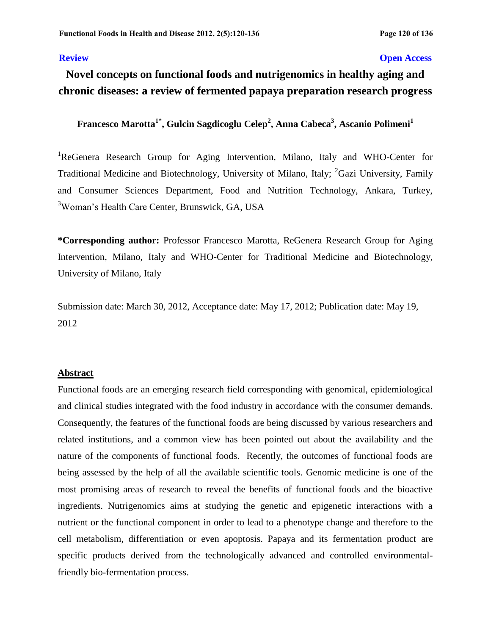# **Review Open Access**

# **Novel concepts on functional foods and nutrigenomics in healthy aging and chronic diseases: a review of fermented papaya preparation research progress**

**Francesco Marotta1\*, Gulcin Sagdicoglu Celep<sup>2</sup> , Anna Cabeca<sup>3</sup> , Ascanio Polimeni<sup>1</sup>**

<sup>1</sup>ReGenera Research Group for Aging Intervention, Milano, Italy and WHO-Center for Traditional Medicine and Biotechnology, University of Milano, Italy; <sup>2</sup>Gazi University, Family and Consumer Sciences Department, Food and Nutrition Technology, Ankara, Turkey, <sup>3</sup>Woman's Health Care Center, Brunswick, GA, USA

**\*Corresponding author:** Professor Francesco Marotta, ReGenera Research Group for Aging Intervention, Milano, Italy and WHO-Center for Traditional Medicine and Biotechnology, University of Milano, Italy

Submission date: March 30, 2012, Acceptance date: May 17, 2012; Publication date: May 19, 2012

# **Abstract**

Functional foods are an emerging research field corresponding with genomical, epidemiological and clinical studies integrated with the food industry in accordance with the consumer demands. Consequently, the features of the functional foods are being discussed by various researchers and related institutions, and a common view has been pointed out about the availability and the nature of the components of functional foods. Recently, the outcomes of functional foods are being assessed by the help of all the available scientific tools. Genomic medicine is one of the most promising areas of research to reveal the benefits of functional foods and the bioactive ingredients. Nutrigenomics aims at studying the genetic and epigenetic interactions with a nutrient or the functional component in order to lead to a phenotype change and therefore to the cell metabolism, differentiation or even apoptosis. Papaya and its fermentation product are specific products derived from the technologically advanced and controlled environmentalfriendly bio-fermentation process.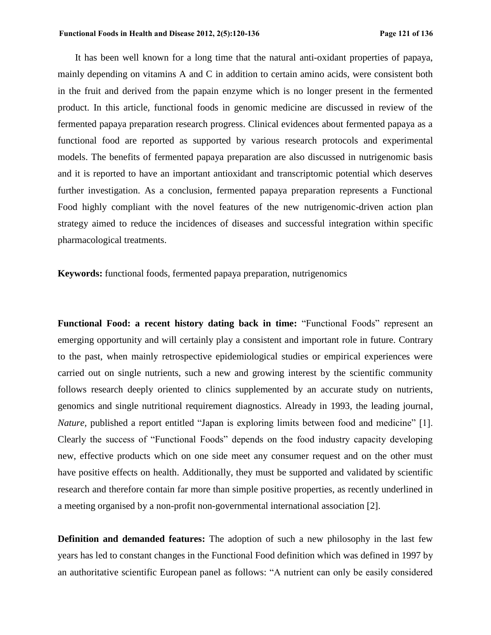It has been well known for a long time that the natural anti-oxidant properties of papaya, mainly depending on vitamins A and C in addition to certain amino acids, were consistent both in the fruit and derived from the papain enzyme which is no longer present in the fermented product. In this article, functional foods in genomic medicine are discussed in review of the fermented papaya preparation research progress. Clinical evidences about fermented papaya as a functional food are reported as supported by various research protocols and experimental models. The benefits of fermented papaya preparation are also discussed in nutrigenomic basis and it is reported to have an important antioxidant and transcriptomic potential which deserves further investigation. As a conclusion, fermented papaya preparation represents a Functional Food highly compliant with the novel features of the new nutrigenomic-driven action plan strategy aimed to reduce the incidences of diseases and successful integration within specific pharmacological treatments.

**Keywords:** functional foods, fermented papaya preparation, nutrigenomics

**Functional Food: a recent history dating back in time:** "Functional Foods" represent an emerging opportunity and will certainly play a consistent and important role in future. Contrary to the past, when mainly retrospective epidemiological studies or empirical experiences were carried out on single nutrients, such a new and growing interest by the scientific community follows research deeply oriented to clinics supplemented by an accurate study on nutrients, genomics and single nutritional requirement diagnostics. Already in 1993, the leading journal, *Nature,* published a report entitled "Japan is exploring limits between food and medicine" [1]. Clearly the success of "Functional Foods" depends on the food industry capacity developing new, effective products which on one side meet any consumer request and on the other must have positive effects on health. Additionally, they must be supported and validated by scientific research and therefore contain far more than simple positive properties, as recently underlined in a meeting organised by a non-profit non-governmental international association [2].

**Definition and demanded features:** The adoption of such a new philosophy in the last few years has led to constant changes in the Functional Food definition which was defined in 1997 by an authoritative scientific European panel as follows: "A nutrient can only be easily considered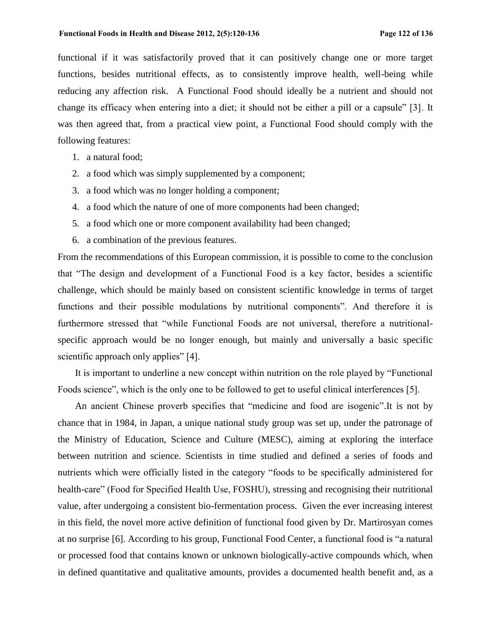functional if it was satisfactorily proved that it can positively change one or more target functions, besides nutritional effects, as to consistently improve health, well-being while reducing any affection risk. A Functional Food should ideally be a nutrient and should not change its efficacy when entering into a diet; it should not be either a pill or a capsule" [3]. It was then agreed that, from a practical view point, a Functional Food should comply with the following features:

- 1. a natural food;
- 2. a food which was simply supplemented by a component;
- 3. a food which was no longer holding a component;
- 4. a food which the nature of one of more components had been changed;
- 5. a food which one or more component availability had been changed;
- 6. a combination of the previous features.

From the recommendations of this European commission, it is possible to come to the conclusion that "The design and development of a Functional Food is a key factor, besides a scientific challenge, which should be mainly based on consistent scientific knowledge in terms of target functions and their possible modulations by nutritional components". And therefore it is furthermore stressed that "while Functional Foods are not universal, therefore a nutritionalspecific approach would be no longer enough, but mainly and universally a basic specific scientific approach only applies" [4].

It is important to underline a new concept within nutrition on the role played by "Functional Foods science", which is the only one to be followed to get to useful clinical interferences [5].

An ancient Chinese proverb specifies that "medicine and food are isogenic".It is not by chance that in 1984, in Japan, a unique national study group was set up, under the patronage of the Ministry of Education, Science and Culture (MESC), aiming at exploring the interface between nutrition and science. Scientists in time studied and defined a series of foods and nutrients which were officially listed in the category "foods to be specifically administered for health-care" (Food for Specified Health Use, FOSHU), stressing and recognising their nutritional value, after undergoing a consistent bio-fermentation process. Given the ever increasing interest in this field, the novel more active definition of functional food given by Dr. Martirosyan comes at no surprise [6]. According to his group, Functional Food Center, a functional food is "a natural or processed food that contains known or unknown biologically-active compounds which, when in defined quantitative and qualitative amounts, provides a documented health benefit and, as a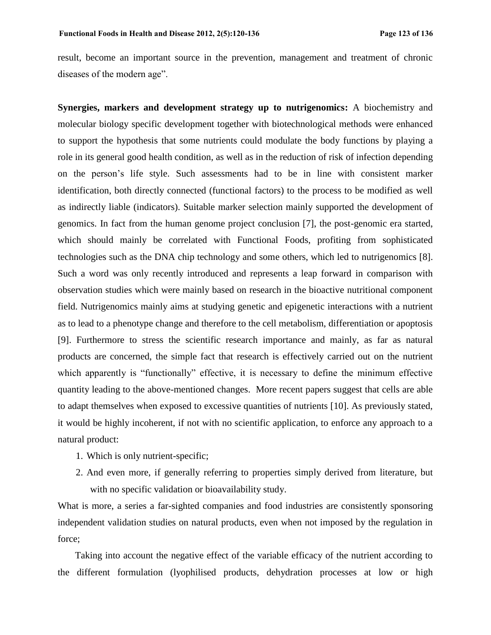result, become an important source in the prevention, management and treatment of chronic diseases of the modern age".

**Synergies, markers and development strategy up to nutrigenomics:** A biochemistry and molecular biology specific development together with biotechnological methods were enhanced to support the hypothesis that some nutrients could modulate the body functions by playing a role in its general good health condition, as well as in the reduction of risk of infection depending on the person's life style. Such assessments had to be in line with consistent marker identification, both directly connected (functional factors) to the process to be modified as well as indirectly liable (indicators). Suitable marker selection mainly supported the development of genomics. In fact from the human genome project conclusion [7], the post-genomic era started, which should mainly be correlated with Functional Foods, profiting from sophisticated technologies such as the DNA chip technology and some others, which led to nutrigenomics [8]. Such a word was only recently introduced and represents a leap forward in comparison with observation studies which were mainly based on research in the bioactive nutritional component field. Nutrigenomics mainly aims at studying genetic and epigenetic interactions with a nutrient as to lead to a phenotype change and therefore to the cell metabolism, differentiation or apoptosis [9]. Furthermore to stress the scientific research importance and mainly, as far as natural products are concerned, the simple fact that research is effectively carried out on the nutrient which apparently is "functionally" effective, it is necessary to define the minimum effective quantity leading to the above-mentioned changes. More recent papers suggest that cells are able to adapt themselves when exposed to excessive quantities of nutrients [10]. As previously stated, it would be highly incoherent, if not with no scientific application, to enforce any approach to a natural product:

- 1. Which is only nutrient-specific;
- 2. And even more, if generally referring to properties simply derived from literature, but with no specific validation or bioavailability study.

What is more, a series a far-sighted companies and food industries are consistently sponsoring independent validation studies on natural products, even when not imposed by the regulation in force;

Taking into account the negative effect of the variable efficacy of the nutrient according to the different formulation (lyophilised products, dehydration processes at low or high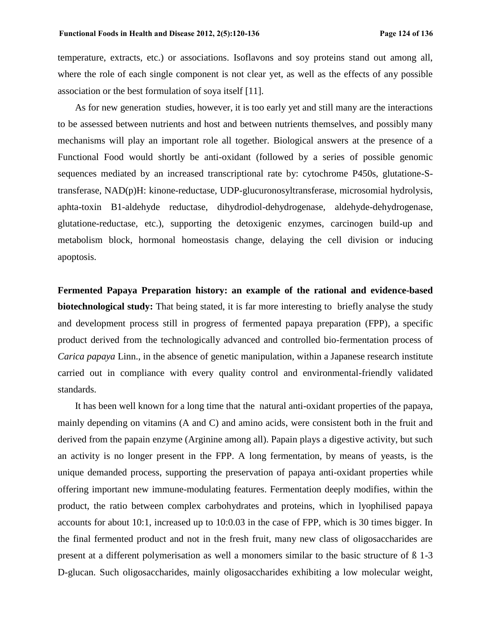temperature, extracts, etc.) or associations. Isoflavons and soy proteins stand out among all, where the role of each single component is not clear yet, as well as the effects of any possible association or the best formulation of soya itself [11].

As for new generation studies, however, it is too early yet and still many are the interactions to be assessed between nutrients and host and between nutrients themselves, and possibly many mechanisms will play an important role all together. Biological answers at the presence of a Functional Food would shortly be anti-oxidant (followed by a series of possible genomic sequences mediated by an increased transcriptional rate by: cytochrome P450s, glutatione-Stransferase, NAD(p)H: kinone-reductase, UDP-glucuronosyltransferase, microsomial hydrolysis, aphta-toxin B1-aldehyde reductase, dihydrodiol-dehydrogenase, aldehyde-dehydrogenase, glutatione-reductase, etc.), supporting the detoxigenic enzymes, carcinogen build-up and metabolism block, hormonal homeostasis change, delaying the cell division or inducing apoptosis.

**Fermented Papaya Preparation history: an example of the rational and evidence-based biotechnological study:** That being stated, it is far more interesting to briefly analyse the study and development process still in progress of fermented papaya preparation (FPP), a specific product derived from the technologically advanced and controlled bio-fermentation process of *Carica papaya* Linn., in the absence of genetic manipulation, within a Japanese research institute carried out in compliance with every quality control and environmental-friendly validated standards.

It has been well known for a long time that the natural anti-oxidant properties of the papaya, mainly depending on vitamins (A and C) and amino acids, were consistent both in the fruit and derived from the papain enzyme (Arginine among all). Papain plays a digestive activity, but such an activity is no longer present in the FPP. A long fermentation, by means of yeasts, is the unique demanded process, supporting the preservation of papaya anti-oxidant properties while offering important new immune-modulating features. Fermentation deeply modifies, within the product, the ratio between complex carbohydrates and proteins, which in lyophilised papaya accounts for about 10:1, increased up to 10:0.03 in the case of FPP, which is 30 times bigger. In the final fermented product and not in the fresh fruit, many new class of oligosaccharides are present at a different polymerisation as well a monomers similar to the basic structure of ß 1-3 D-glucan. Such oligosaccharides, mainly oligosaccharides exhibiting a low molecular weight,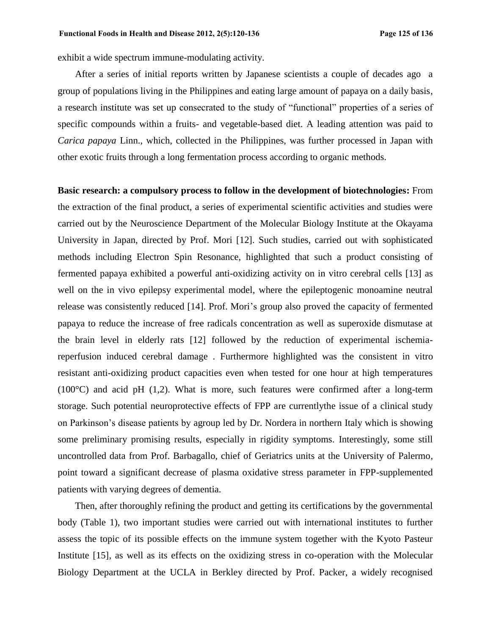exhibit a wide spectrum immune-modulating activity.

After a series of initial reports written by Japanese scientists a couple of decades ago a group of populations living in the Philippines and eating large amount of papaya on a daily basis, a research institute was set up consecrated to the study of "functional" properties of a series of specific compounds within a fruits- and vegetable-based diet. A leading attention was paid to *Carica papaya* Linn., which, collected in the Philippines, was further processed in Japan with other exotic fruits through a long fermentation process according to organic methods.

#### **Basic research: a compulsory process to follow in the development of biotechnologies:** From

the extraction of the final product, a series of experimental scientific activities and studies were carried out by the Neuroscience Department of the Molecular Biology Institute at the Okayama University in Japan, directed by Prof. Mori [12]. Such studies, carried out with sophisticated methods including Electron Spin Resonance, highlighted that such a product consisting of fermented papaya exhibited a powerful anti-oxidizing activity on in vitro cerebral cells [13] as well on the in vivo epilepsy experimental model, where the epileptogenic monoamine neutral release was consistently reduced [14]. Prof. Mori's group also proved the capacity of fermented papaya to reduce the increase of free radicals concentration as well as superoxide dismutase at the brain level in elderly rats [12] followed by the reduction of experimental ischemiareperfusion induced cerebral damage . Furthermore highlighted was the consistent in vitro resistant anti-oxidizing product capacities even when tested for one hour at high temperatures (100°C) and acid pH (1,2). What is more, such features were confirmed after a long-term storage. Such potential neuroprotective effects of FPP are currentlythe issue of a clinical study on Parkinson's disease patients by agroup led by Dr. Nordera in northern Italy which is showing some preliminary promising results, especially in rigidity symptoms. Interestingly, some still uncontrolled data from Prof. Barbagallo, chief of Geriatrics units at the University of Palermo, point toward a significant decrease of plasma oxidative stress parameter in FPP-supplemented patients with varying degrees of dementia.

Then, after thoroughly refining the product and getting its certifications by the governmental body (Table 1), two important studies were carried out with international institutes to further assess the topic of its possible effects on the immune system together with the Kyoto Pasteur Institute [15], as well as its effects on the oxidizing stress in co-operation with the Molecular Biology Department at the UCLA in Berkley directed by Prof. Packer, a widely recognised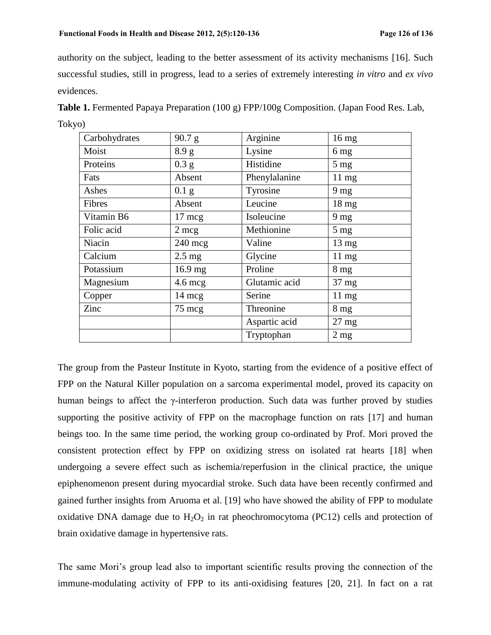authority on the subject, leading to the better assessment of its activity mechanisms [16]. Such successful studies, still in progress, lead to a series of extremely interesting *in vitro* and *ex vivo* evidences.

Carbohydrates  $\begin{array}{|c|c|c|c|c|} \hline \end{array}$  Arginine 16 mg Moist  $\begin{array}{|c|c|c|c|c|} \hline 8.9 g & \text{Lysine} & \hline \end{array}$  6 mg Proteins  $\begin{array}{|c|c|c|c|c|} \hline 0.3 g & \text{Histidine} & \text{5 mg} \end{array}$ Fats Absent Phenylalanine 11 mg Ashes  $\vert 0.1 \text{ g} \vert$  Tyrosine  $\vert 9 \text{ mg} \vert$ Fibres Absent Leucine 18 mg Vitamin B6  $\vert$  17 mcg  $\vert$  Isoleucine  $\vert$  9 mg Folic acid 2 mcg Methionine 5 mg Niacin 240 mcg Valine 13 mg Calcium  $2.5 \text{ mg}$  Glycine 11 mg Potassium 16.9 mg Proline 8 mg Magnesium | 4.6 mcg | Glutamic acid | 37 mg Copper 14 mcg Serine 11 mg  $\frac{2}{\text{2}}$  75 mcg Threonine 8 mg Aspartic acid 27 mg Tryptophan 2 mg

**Table 1.** Fermented Papaya Preparation (100 g) FPP/100g Composition. (Japan Food Res. Lab, Tokyo)

The group from the Pasteur Institute in Kyoto, starting from the evidence of a positive effect of FPP on the Natural Killer population on a sarcoma experimental model, proved its capacity on human beings to affect the γ-interferon production. Such data was further proved by studies supporting the positive activity of FPP on the macrophage function on rats [17] and human beings too. In the same time period, the working group co-ordinated by Prof. Mori proved the consistent protection effect by FPP on oxidizing stress on isolated rat hearts [18] when undergoing a severe effect such as ischemia/reperfusion in the clinical practice, the unique epiphenomenon present during myocardial stroke. Such data have been recently confirmed and gained further insights from Aruoma et al. [19] who have showed the ability of FPP to modulate oxidative DNA damage due to  $H_2O_2$  in rat pheochromocytoma (PC12) cells and protection of brain oxidative damage in hypertensive rats.

The same Mori's group lead also to important scientific results proving the connection of the immune-modulating activity of FPP to its anti-oxidising features [20, 21]. In fact on a rat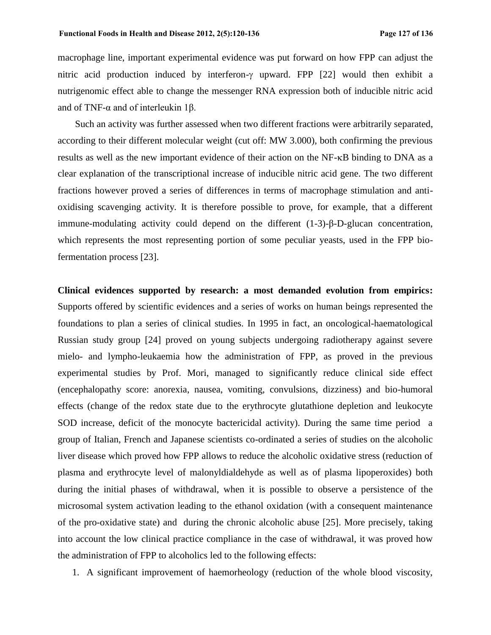macrophage line, important experimental evidence was put forward on how FPP can adjust the nitric acid production induced by interferon- $\gamma$  upward. FPP [22] would then exhibit a nutrigenomic effect able to change the messenger RNA expression both of inducible nitric acid and of TNF-α and of interleukin 1β.

Such an activity was further assessed when two different fractions were arbitrarily separated, according to their different molecular weight (cut off: MW 3.000), both confirming the previous results as well as the new important evidence of their action on the NF- $\kappa$ B binding to DNA as a clear explanation of the transcriptional increase of inducible nitric acid gene. The two different fractions however proved a series of differences in terms of macrophage stimulation and antioxidising scavenging activity. It is therefore possible to prove, for example, that a different immune-modulating activity could depend on the different (1-3)-β-D-glucan concentration, which represents the most representing portion of some peculiar yeasts, used in the FPP biofermentation process [23].

**Clinical evidences supported by research: a most demanded evolution from empirics:**  Supports offered by scientific evidences and a series of works on human beings represented the foundations to plan a series of clinical studies. In 1995 in fact, an oncological-haematological Russian study group [24] proved on young subjects undergoing radiotherapy against severe mielo- and lympho-leukaemia how the administration of FPP, as proved in the previous experimental studies by Prof. Mori, managed to significantly reduce clinical side effect (encephalopathy score: anorexia, nausea, vomiting, convulsions, dizziness) and bio-humoral effects (change of the redox state due to the erythrocyte glutathione depletion and leukocyte SOD increase, deficit of the monocyte bactericidal activity). During the same time period a group of Italian, French and Japanese scientists co-ordinated a series of studies on the alcoholic liver disease which proved how FPP allows to reduce the alcoholic oxidative stress (reduction of plasma and erythrocyte level of malonyldialdehyde as well as of plasma lipoperoxides) both during the initial phases of withdrawal, when it is possible to observe a persistence of the microsomal system activation leading to the ethanol oxidation (with a consequent maintenance of the pro-oxidative state) and during the chronic alcoholic abuse [25]. More precisely, taking into account the low clinical practice compliance in the case of withdrawal, it was proved how the administration of FPP to alcoholics led to the following effects:

1. A significant improvement of haemorheology (reduction of the whole blood viscosity,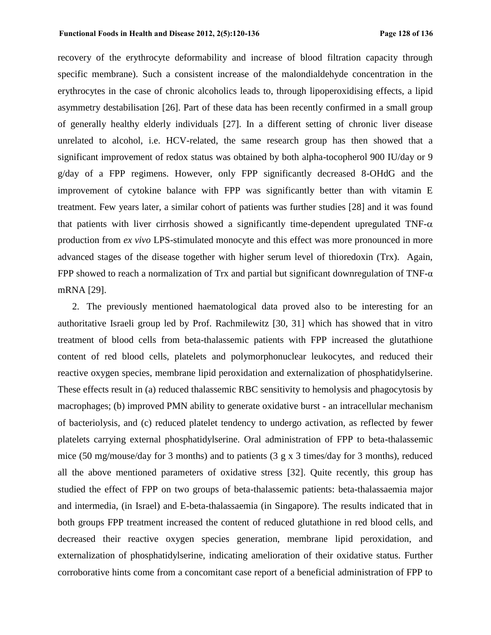recovery of the erythrocyte deformability and increase of blood filtration capacity through specific membrane). Such a consistent increase of the malondialdehyde concentration in the erythrocytes in the case of chronic alcoholics leads to, through lipoperoxidising effects, a lipid asymmetry destabilisation [26]. Part of these data has been recently confirmed in a small group of generally healthy elderly individuals [27]. In a different setting of chronic liver disease unrelated to alcohol, i.e. HCV-related, the same research group has then showed that a significant improvement of redox status was obtained by both alpha-tocopherol 900 IU/day or 9 g/day of a FPP regimens. However, only FPP significantly decreased 8-OHdG and the improvement of cytokine balance with FPP was significantly better than with vitamin E treatment. Few years later, a similar cohort of patients was further studies [28] and it was found that patients with liver cirrhosis showed a significantly time-dependent upregulated  $TNF-\alpha$ production from *ex vivo* LPS-stimulated monocyte and this effect was more pronounced in more advanced stages of the disease together with higher serum level of thioredoxin (Trx). Again, FPP showed to reach a normalization of Trx and partial but significant downregulation of TNF- $\alpha$ mRNA [29].

2. The previously mentioned haematological data proved also to be interesting for an authoritative Israeli group led by Prof. Rachmilewitz [30, 31] which has showed that in vitro treatment of blood cells from beta-thalassemic patients with FPP increased the glutathione content of red blood cells, platelets and polymorphonuclear leukocytes, and reduced their reactive oxygen species, membrane lipid peroxidation and externalization of phosphatidylserine. These effects result in (a) reduced thalassemic RBC sensitivity to hemolysis and phagocytosis by macrophages; (b) improved PMN ability to generate oxidative burst - an intracellular mechanism of bacteriolysis, and (c) reduced platelet tendency to undergo activation, as reflected by fewer platelets carrying external phosphatidylserine. Oral administration of FPP to beta-thalassemic mice (50 mg/mouse/day for 3 months) and to patients (3 g x 3 times/day for 3 months), reduced all the above mentioned parameters of oxidative stress [32]. Quite recently, this group has studied the effect of FPP on two groups of beta-thalassemic patients: beta-thalassaemia major and intermedia, (in Israel) and E-beta-thalassaemia (in Singapore). The results indicated that in both groups FPP treatment increased the content of reduced glutathione in red blood cells, and decreased their reactive oxygen species generation, membrane lipid peroxidation, and externalization of phosphatidylserine, indicating amelioration of their oxidative status. Further corroborative hints come from a concomitant case report of a beneficial administration of FPP to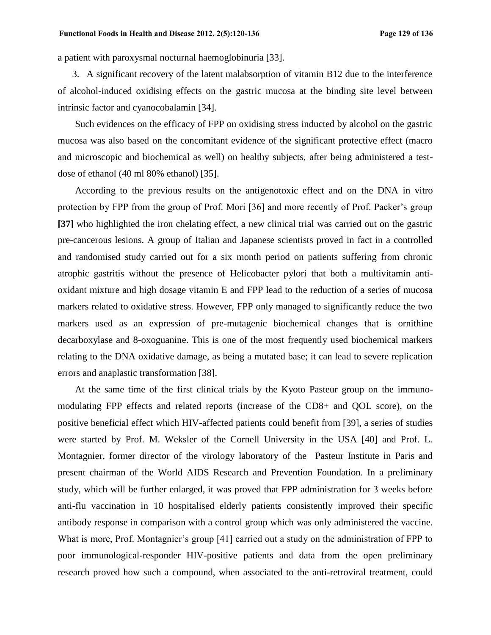a patient with paroxysmal nocturnal haemoglobinuria [33].

3. A significant recovery of the latent malabsorption of vitamin B12 due to the interference of alcohol-induced oxidising effects on the gastric mucosa at the binding site level between intrinsic factor and cyanocobalamin [34].

Such evidences on the efficacy of FPP on oxidising stress inducted by alcohol on the gastric mucosa was also based on the concomitant evidence of the significant protective effect (macro and microscopic and biochemical as well) on healthy subjects, after being administered a testdose of ethanol (40 ml 80% ethanol) [35].

According to the previous results on the antigenotoxic effect and on the DNA in vitro protection by FPP from the group of Prof. Mori [36] and more recently of Prof. Packer's group **[37]** who highlighted the iron chelating effect, a new clinical trial was carried out on the gastric pre-cancerous lesions. A group of Italian and Japanese scientists proved in fact in a controlled and randomised study carried out for a six month period on patients suffering from chronic atrophic gastritis without the presence of Helicobacter pylori that both a multivitamin antioxidant mixture and high dosage vitamin E and FPP lead to the reduction of a series of mucosa markers related to oxidative stress. However, FPP only managed to significantly reduce the two markers used as an expression of pre-mutagenic biochemical changes that is ornithine decarboxylase and 8-oxoguanine. This is one of the most frequently used biochemical markers relating to the DNA oxidative damage, as being a mutated base; it can lead to severe replication errors and anaplastic transformation [38].

At the same time of the first clinical trials by the Kyoto Pasteur group on the immunomodulating FPP effects and related reports (increase of the CD8+ and QOL score), on the positive beneficial effect which HIV-affected patients could benefit from [39], a series of studies were started by Prof. M. Weksler of the Cornell University in the USA [40] and Prof. L. Montagnier, former director of the virology laboratory of the Pasteur Institute in Paris and present chairman of the World AIDS Research and Prevention Foundation. In a preliminary study, which will be further enlarged, it was proved that FPP administration for 3 weeks before anti-flu vaccination in 10 hospitalised elderly patients consistently improved their specific antibody response in comparison with a control group which was only administered the vaccine. What is more, Prof. Montagnier's group [41] carried out a study on the administration of FPP to poor immunological-responder HIV-positive patients and data from the open preliminary research proved how such a compound, when associated to the anti-retroviral treatment, could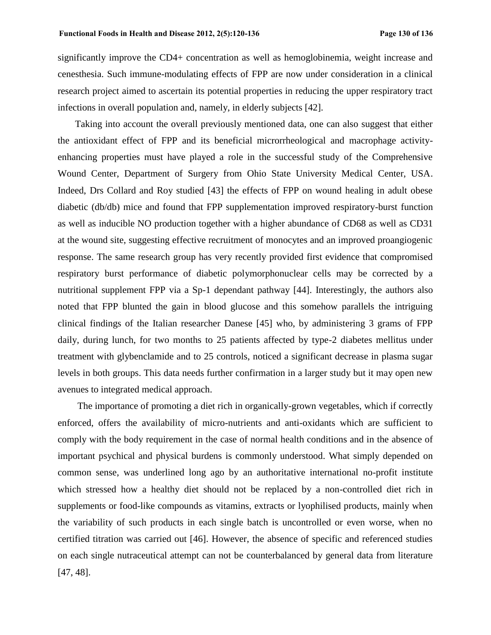significantly improve the CD4+ concentration as well as hemoglobinemia, weight increase and cenesthesia. Such immune-modulating effects of FPP are now under consideration in a clinical research project aimed to ascertain its potential properties in reducing the upper respiratory tract infections in overall population and, namely, in elderly subjects [42].

Taking into account the overall previously mentioned data, one can also suggest that either the antioxidant effect of FPP and its beneficial microrrheological and macrophage activityenhancing properties must have played a role in the successful study of the Comprehensive Wound Center, Department of Surgery from Ohio State University Medical Center, USA. Indeed, Drs Collard and Roy studied [43] the effects of FPP on wound healing in adult obese diabetic (db/db) mice and found that FPP supplementation improved respiratory-burst function as well as inducible NO production together with a higher abundance of CD68 as well as CD31 at the wound site, suggesting effective recruitment of monocytes and an improved proangiogenic response. The same research group has very recently provided first evidence that compromised respiratory burst performance of diabetic polymorphonuclear cells may be corrected by a nutritional supplement FPP via a Sp-1 dependant pathway [44]. Interestingly, the authors also noted that FPP blunted the gain in blood glucose and this somehow parallels the intriguing clinical findings of the Italian researcher Danese [45] who, by administering 3 grams of FPP daily, during lunch, for two months to 25 patients affected by type-2 diabetes mellitus under treatment with glybenclamide and to 25 controls, noticed a significant decrease in plasma sugar levels in both groups. This data needs further confirmation in a larger study but it may open new avenues to integrated medical approach.

The importance of promoting a diet rich in organically-grown vegetables, which if correctly enforced, offers the availability of micro-nutrients and anti-oxidants which are sufficient to comply with the body requirement in the case of normal health conditions and in the absence of important psychical and physical burdens is commonly understood. What simply depended on common sense, was underlined long ago by an authoritative international no-profit institute which stressed how a healthy diet should not be replaced by a non-controlled diet rich in supplements or food-like compounds as vitamins, extracts or lyophilised products, mainly when the variability of such products in each single batch is uncontrolled or even worse, when no certified titration was carried out [46]. However, the absence of specific and referenced studies on each single nutraceutical attempt can not be counterbalanced by general data from literature [47, 48].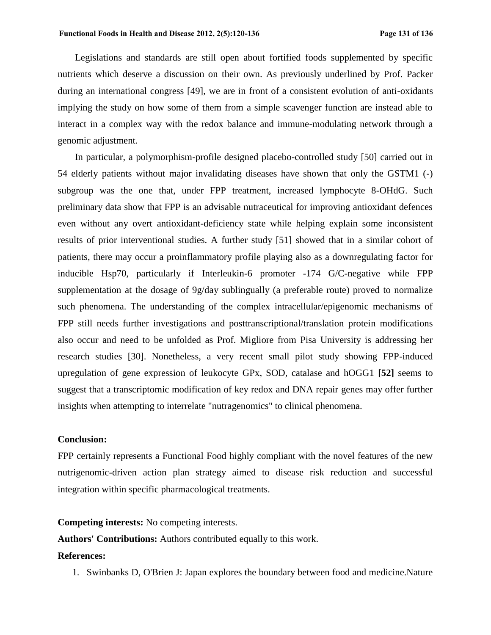Legislations and standards are still open about fortified foods supplemented by specific nutrients which deserve a discussion on their own. As previously underlined by Prof. Packer during an international congress [49], we are in front of a consistent evolution of anti-oxidants implying the study on how some of them from a simple scavenger function are instead able to interact in a complex way with the redox balance and immune-modulating network through a genomic adjustment.

In particular, a polymorphism-profile designed placebo-controlled study [50] carried out in 54 elderly patients without major invalidating diseases have shown that only the GSTM1 (-) subgroup was the one that, under FPP treatment, increased lymphocyte 8-OHdG. Such preliminary data show that FPP is an advisable nutraceutical for improving antioxidant defences even without any overt antioxidant-deficiency state while helping explain some inconsistent results of prior interventional studies. A further study [51] showed that in a similar cohort of patients, there may occur a proinflammatory profile playing also as a downregulating factor for inducible Hsp70, particularly if Interleukin-6 promoter -174 G/C-negative while FPP supplementation at the dosage of 9g/day sublingually (a preferable route) proved to normalize such phenomena. The understanding of the complex intracellular/epigenomic mechanisms of FPP still needs further investigations and posttranscriptional/translation protein modifications also occur and need to be unfolded as Prof. Migliore from Pisa University is addressing her research studies [30]. Nonetheless, a very recent small pilot study showing FPP-induced upregulation of gene expression of leukocyte GPx, SOD, catalase and hOGG1 **[52]** seems to suggest that a transcriptomic modification of key redox and DNA repair genes may offer further insights when attempting to interrelate "nutragenomics" to clinical phenomena.

### **Conclusion:**

FPP certainly represents a Functional Food highly compliant with the novel features of the new nutrigenomic-driven action plan strategy aimed to disease risk reduction and successful integration within specific pharmacological treatments.

# **Competing interests:** No competing interests.

**Authors' Contributions:** Authors contributed equally to this work.

### **References:**

1. Swinbanks D, O'Brien J: Japan explores the boundary between food and medicine.Nature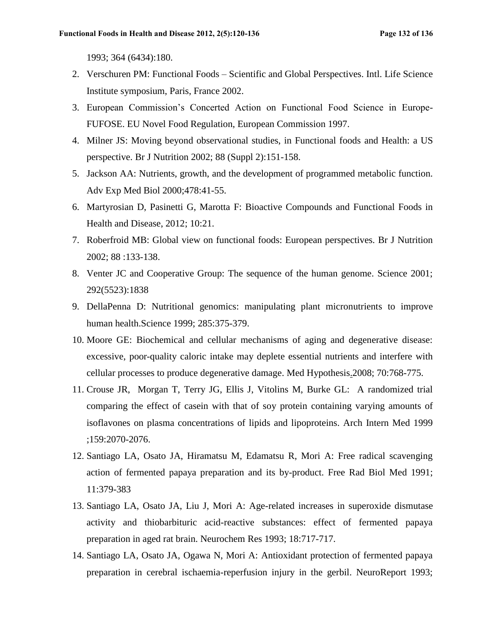1993; 364 (6434):180.

- 2. Verschuren PM: Functional Foods Scientific and Global Perspectives. Intl. Life Science Institute symposium, Paris, France 2002.
- 3. European Commission's Concerted Action on Functional Food Science in Europe-FUFOSE. EU Novel Food Regulation, European Commission 1997.
- 4. Milner JS: Moving beyond observational studies, in Functional foods and Health: a US perspective. Br J Nutrition 2002; 88 (Suppl 2):151-158.
- 5. Jackson AA: Nutrients, growth, and the development of programmed metabolic function. Adv Exp Med Biol 2000;478:41-55.
- 6. Martyrosian D, Pasinetti G, Marotta F: Bioactive Compounds and Functional Foods in Health and Disease, 2012; 10:21.
- 7. Roberfroid MB: Global view on functional foods: European perspectives. Br J Nutrition 2002; 88 :133-138.
- 8. Venter JC and Cooperative Group: The sequence of the human genome. Science 2001; 292(5523):1838
- 9. DellaPenna D: Nutritional genomics: manipulating plant micronutrients to improve human health.Science 1999; 285:375-379.
- 10. Moore GE: Biochemical and cellular mechanisms of aging and degenerative disease: excessive, poor-quality caloric intake may deplete essential nutrients and interfere with cellular processes to produce degenerative damage. Med Hypothesis.2008; 70:768-775.
- 11. Crouse JR, Morgan T, Terry JG, Ellis J, Vitolins M, Burke GL: A randomized trial comparing the effect of casein with that of soy protein containing varying amounts of isoflavones on plasma concentrations of lipids and lipoproteins. Arch Intern Med 1999 ;159:2070-2076.
- 12. Santiago LA, Osato JA, Hiramatsu M, Edamatsu R, Mori A: Free radical scavenging action of fermented papaya preparation and its by-product. Free Rad Biol Med 1991; 11:379-383
- 13. Santiago LA, Osato JA, Liu J, Mori A: Age-related increases in superoxide dismutase activity and thiobarbituric acid-reactive substances: effect of fermented papaya preparation in aged rat brain. Neurochem Res 1993; 18:717-717.
- 14. Santiago LA, Osato JA, Ogawa N, Mori A: Antioxidant protection of fermented papaya preparation in cerebral ischaemia-reperfusion injury in the gerbil. NeuroReport 1993;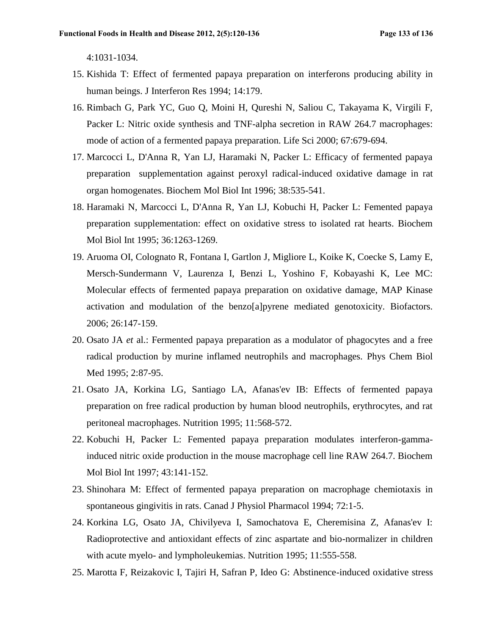4:1031-1034.

- 15. Kishida T: Effect of fermented papaya preparation on interferons producing ability in human beings. J Interferon Res 1994; 14:179.
- 16. Rimbach G, Park YC, Guo Q, Moini H, Qureshi N, Saliou C, Takayama K, Virgili F, Packer L: Nitric oxide synthesis and TNF-alpha secretion in RAW 264.7 macrophages: mode of action of a fermented papaya preparation. Life Sci 2000; 67:679-694.
- 17. Marcocci L, D'Anna R, Yan LJ, Haramaki N, Packer L: Efficacy of fermented papaya preparation supplementation against peroxyl radical-induced oxidative damage in rat organ homogenates. Biochem Mol Biol Int 1996; 38:535-541.
- 18. Haramaki N, Marcocci L, D'Anna R, Yan LJ, Kobuchi H, Packer L: Femented papaya preparation supplementation: effect on oxidative stress to isolated rat hearts. Biochem Mol Biol Int 1995; 36:1263-1269.
- 19. Aruoma OI, Colognato R, Fontana I, Gartlon J, Migliore L, Koike K, Coecke S, Lamy E, Mersch-Sundermann V, Laurenza I, Benzi L, Yoshino F, Kobayashi K, Lee MC: Molecular effects of fermented papaya preparation on oxidative damage, MAP Kinase activation and modulation of the benzo[a]pyrene mediated genotoxicity. Biofactors. 2006; 26:147-159.
- 20. Osato JA *et* al.: Fermented papaya preparation as a modulator of phagocytes and a free radical production by murine inflamed neutrophils and macrophages. Phys Chem Biol Med 1995; 2:87-95.
- 21. Osato JA, Korkina LG, Santiago LA, Afanas'ev IB: Effects of fermented papaya preparation on free radical production by human blood neutrophils, erythrocytes, and rat peritoneal macrophages. Nutrition 1995; 11:568-572.
- 22. Kobuchi H, Packer L: Femented papaya preparation modulates interferon-gammainduced nitric oxide production in the mouse macrophage cell line RAW 264.7. Biochem Mol Biol Int 1997; 43:141-152.
- 23. Shinohara M: Effect of fermented papaya preparation on macrophage chemiotaxis in spontaneous gingivitis in rats. Canad J Physiol Pharmacol 1994; 72:1-5.
- 24. Korkina LG, Osato JA, Chivilyeva I, Samochatova E, Cheremisina Z, Afanas'ev I: Radioprotective and antioxidant effects of zinc aspartate and bio-normalizer in children with acute myelo- and lympholeukemias. Nutrition 1995; 11:555-558.
- 25. Marotta F, Reizakovic I, Tajiri H, Safran P, Ideo G: Abstinence-induced oxidative stress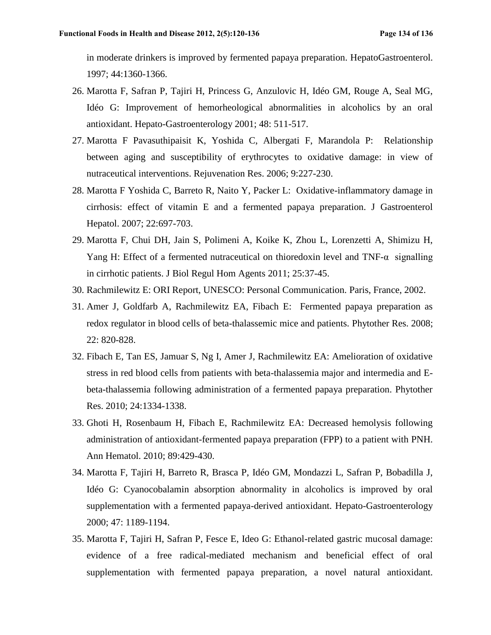in moderate drinkers is improved by fermented papaya preparation. HepatoGastroenterol. 1997; 44:1360-1366.

- 26. Marotta F, Safran P, Tajiri H, Princess G, Anzulovic H, Idéo GM, Rouge A, Seal MG, Idéo G: Improvement of hemorheological abnormalities in alcoholics by an oral antioxidant. Hepato-Gastroenterology 2001; 48: 511-517.
- 27. Marotta F Pavasuthipaisit K, Yoshida C, Albergati F, Marandola P: Relationship between aging and susceptibility of erythrocytes to oxidative damage: in view of nutraceutical interventions. Rejuvenation Res. 2006; 9:227-230.
- 28. Marotta F Yoshida C, Barreto R, Naito Y, Packer L: Oxidative-inflammatory damage in cirrhosis: effect of vitamin E and a fermented papaya preparation. J Gastroenterol Hepatol. 2007; 22:697-703.
- 29. Marotta F, Chui DH, Jain S, Polimeni A, Koike K, Zhou L, Lorenzetti A, Shimizu H, Yang H: Effect of a fermented nutraceutical on thioredoxin level and TNF- $\alpha$  signalling in cirrhotic patients. J Biol Regul Hom Agents 2011; 25:37-45.
- 30. Rachmilewitz E: ORI Report, UNESCO: Personal Communication. Paris, France, 2002.
- 31. Amer J, Goldfarb A, Rachmilewitz EA, Fibach E: Fermented papaya preparation as redox regulator in blood cells of beta-thalassemic mice and patients. Phytother Res. 2008; 22: 820-828.
- 32. Fibach E, Tan ES, Jamuar S, Ng I, Amer J, Rachmilewitz EA: Amelioration of oxidative stress in red blood cells from patients with beta-thalassemia major and intermedia and Ebeta-thalassemia following administration of a fermented papaya preparation. Phytother Res. 2010; 24:1334-1338.
- 33. Ghoti H, Rosenbaum H, Fibach E, Rachmilewitz EA: Decreased hemolysis following administration of antioxidant-fermented papaya preparation (FPP) to a patient with PNH. Ann Hematol. 2010; 89:429-430.
- 34. Marotta F, Tajiri H, Barreto R, Brasca P, Idéo GM, Mondazzi L, Safran P, Bobadilla J, Idéo G: Cyanocobalamin absorption abnormality in alcoholics is improved by oral supplementation with a fermented papaya-derived antioxidant. Hepato-Gastroenterology 2000; 47: 1189-1194.
- 35. Marotta F, Tajiri H, Safran P, Fesce E, Ideo G: Ethanol-related gastric mucosal damage: evidence of a free radical-mediated mechanism and beneficial effect of oral supplementation with fermented papaya preparation, a novel natural antioxidant.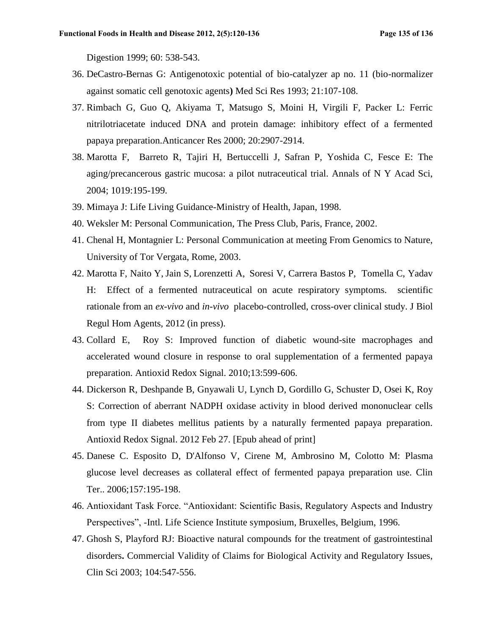Digestion 1999; 60: 538-543.

- 36. DeCastro-Bernas G: Antigenotoxic potential of bio-catalyzer ap no. 11 (bio-normalizer against somatic cell genotoxic agents**)** Med Sci Res 1993; 21:107-108.
- 37. Rimbach G, Guo Q, Akiyama T, Matsugo S, Moini H, Virgili F, Packer L: Ferric nitrilotriacetate induced DNA and protein damage: inhibitory effect of a fermented papaya preparation.Anticancer Res 2000; 20:2907-2914.
- 38. Marotta F, Barreto R, Tajiri H, Bertuccelli J, Safran P, Yoshida C, Fesce E: The aging/precancerous gastric mucosa: a pilot nutraceutical trial. Annals of N Y Acad Sci, 2004; 1019:195-199.
- 39. Mimaya J: Life Living Guidance-Ministry of Health, Japan, 1998.
- 40. Weksler M: Personal Communication, The Press Club, Paris, France, 2002.
- 41. Chenal H, Montagnier L: Personal Communication at meeting From Genomics to Nature, University of Tor Vergata, Rome, 2003.
- 42. Marotta F, Naito Y, Jain S, Lorenzetti A, Soresi V, Carrera Bastos P, Tomella C, Yadav H: Effect of a fermented nutraceutical on acute respiratory symptoms. scientific rationale from an *ex-vivo* and *in-vivo* placebo-controlled, cross-over clinical study. J Biol Regul Hom Agents, 2012 (in press).
- 43. Collard E, Roy S: Improved function of diabetic wound-site macrophages and accelerated wound closure in response to oral supplementation of a fermented papaya preparation. Antioxid Redox Signal. 2010;13:599-606.
- 44. Dickerson R, Deshpande B, Gnyawali U, Lynch D, Gordillo G, Schuster D, Osei K, Roy S: Correction of aberrant NADPH oxidase activity in blood derived mononuclear cells from type II diabetes mellitus patients by a naturally fermented papaya preparation. Antioxid Redox Signal. 2012 Feb 27. [Epub ahead of print]
- 45. Danese C. Esposito D, D'Alfonso V, Cirene M, Ambrosino M, Colotto M: Plasma glucose level decreases as collateral effect of fermented papaya preparation use. Clin Ter.. 2006;157:195-198.
- 46. Antioxidant Task Force. "Antioxidant: Scientific Basis, Regulatory Aspects and Industry Perspectives", -Intl. Life Science Institute symposium, Bruxelles, Belgium, 1996.
- 47. Ghosh S, Playford RJ: Bioactive natural compounds for the treatment of gastrointestinal disorders**.** Commercial Validity of Claims for Biological Activity and Regulatory Issues, Clin Sci 2003; 104:547-556.